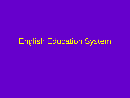### English Education System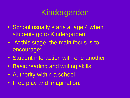# Kindergarden

- School usually starts at age 4 when students go to Kindergarden.
- At this stage, the main focus is to encourage:
- Student interaction with one another
- Basic reading and writing skills
- Authority within a school
- Free play and imagination.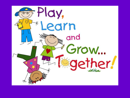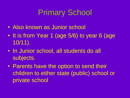# Primary School

- Also known as Junior school
- It is from Year 1 (age 5/6) to year 6 (age 10/11).
- In Junior school, all students do all subjects.
- Parents have the option to send their children to either state (public) school or private school.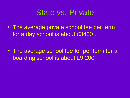#### State vs. Private

• The average private school fee per term for a day school is about £3400 .

• The average school fee for per term for a boarding school is about £9,200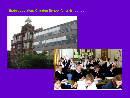#### **State education: Camden School for girls, London.**

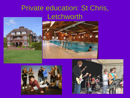#### Private education: St Chris, **Letchworth**





**III** 

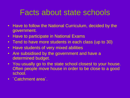## Facts about state schools

- Have to follow the National Curriculum, decided by the government.
- Have to participate in National Exams
- Tend to have more students in each class (up to 30)
- Have students of very mixed abilities
- Are subsidised by the government and have a determined budget.
- You usually go to the state school closest to your house. Often people move house in order to be close to a good school.
- ´Catchment area´.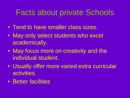## Facts about private Schools

- Tend to have smaller class sizes.
- May only select students who excel academically.
- May focus more on creativity and the individual student.
- Usually offer more varied extra curricular activities.
- Better facilities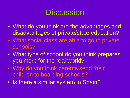## **Discussion**

- What do you think are the advantages and disadvantages of private/state education?
- What social class are able to go to private schools?
- What type of school do you think prepares you more for the real world?
- Why do you think parents send their children to boarding schools?
- Is there a similar system in Spain?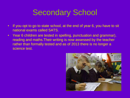# Secondary School

- If you opt to go to state school, at the end of year 6, you have to sit national exams called SATS.
- Year 6 children are tested in spelling, punctuation and grammar), reading and maths.Their writing is now assessed by the teacher rather than formally tested and as of 2013 there is no longer a science test.

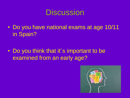### **Discussion**

- Do you have national exams at age 10/11 in Spain?
- Do you think that it's important to be examined from an early age?

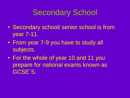# Secondary School

- Secondary school/ senior school is from year 7-11.
- From year 7-9 you have to study all subjects.
- For the whole of year 10 and 11 you prepare for national exams known as GCSE´S.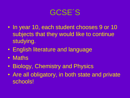#### GCSE´S

- In year 10, each student chooses 9 or 10 subjects that they would like to continue studying.
- English literature and language
- Maths
- Biology, Chemistry and Physics
- Are all obligatory, in both state and private schools!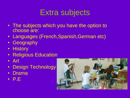## Extra subjects

- The subjects which you have the option to choose are:
- Languages (French,Spanish,German etc)
- **Geography**
- History
- Religious Education
- Art
- Design Technology
- Drama
- P.E

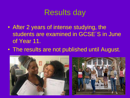## Results day

- After 2 years of intense studying, the students are examined in GCSE´S in June of Year 11.
- The results are not published until August.

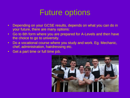## Future options

- Depending on your GCSE results, depends on what you can do in your future, there are many options:
- Go to 6th form where you are prepared for A-Levels and then have the choice to go to university.
- Do a vocational course where you study and work. Eg. Mechanic, chef, administration, hairdressing etc.
- Get a part time or full time job.

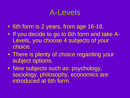#### A-Levels

- 6th form is 2 years, from age 16-18.
- If you decide to go to 6th form and take A-Levels, you choose 4 subjects of your choice.
- There is plenty of choice regarding your subject options.
- New subjects such as: psychology, sociology, philosophy, economics are introduced at 6th form.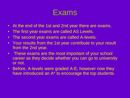#### **Exams**

- At the end of the 1st and 2nd year there are exams.
- The first year exams are called AS Levels.
- The second year exams are called A-levels.
- Your results from the 1st year contribute to your result from the 2nd year.
- These exams are the most important of your school career as they decide whether you can go to university or not.
- Before, A-levels were graded A-E, however now they have introduced an A\* to encourage the top students.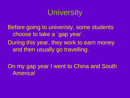## **University**

Before going to univeristy, some students choose to take a ´ gap year ´. During this year, they work to earn money and then usually go travelling.

On my gap year I went to China and South America!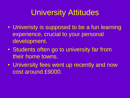## University Attitudes

- Univeristy is supposed to be a fun learning experience, crucial to your personal development.
- Students often go to university far from their home towns.
- University fees went up recently and now cost around £9000.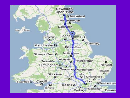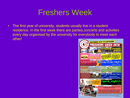### Freshers Week

• The first year of university, students usually live in a student residence. In the first week there are parties,concerts and activities every day organised by the university for everybody to meet each other!